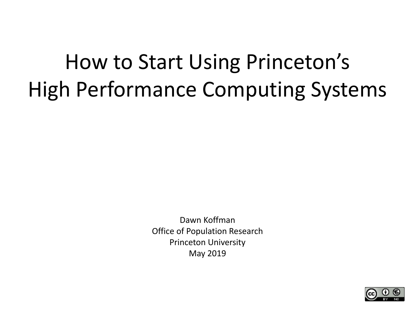# How to Start Using Princeton's High Performance Computing Systems

Dawn Koffman Office of Population Research Princeton University May 2019

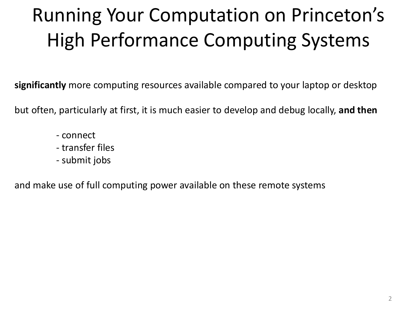# Running Your Computation on Princeton's High Performance Computing Systems

**significantly** more computing resources available compared to your laptop or desktop

but often, particularly at first, it is much easier to develop and debug locally, **and then**

- connect
- transfer files
- submit jobs

and make use of full computing power available on these remote systems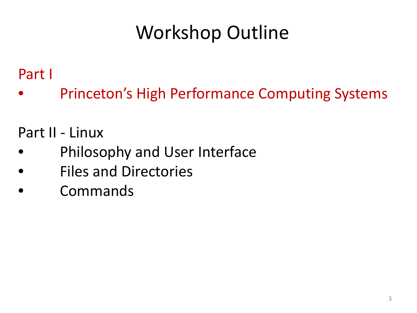# Workshop Outline

#### Part I

Princeton's High Performance Computing Systems

#### Part II - Linux

- Philosophy and User Interface
- Files and Directories
- Commands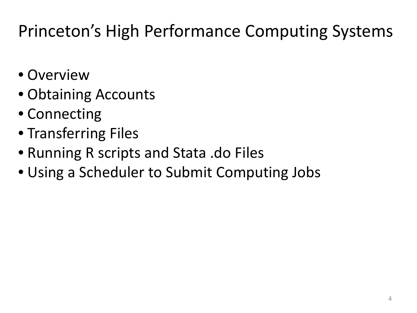#### Princeton's High Performance Computing Systems

- Overview
- Obtaining Accounts
- Connecting
- Transferring Files
- Running R scripts and Stata .do Files
- Using a Scheduler to Submit Computing Jobs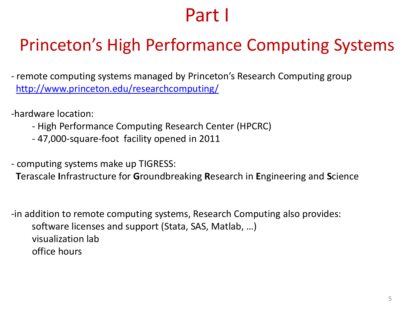#### Part I

#### Princeton's High Performance Computing Systems

- remote computing systems managed by Princeton's Research Computing group <http://www.princeton.edu/researchcomputing/>
- -hardware location:
	- High Performance Computing Research Center (HPCRC)
	- 47,000-square-foot facility opened in 2011
- computing systems make up TIGRESS:
	- **T**erascale **I**nfrastructure for **G**roundbreaking **R**esearch in **E**ngineering and **S**cience

-in addition to remote computing systems, Research Computing also provides: software licenses and support (Stata, SAS, Matlab, …) visualization lab office hours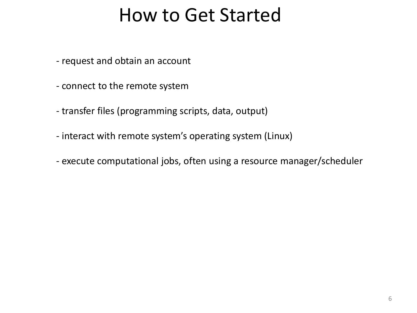#### How to Get Started

- request and obtain an account
- connect to the remote system
- transfer files (programming scripts, data, output)
- interact with remote system's operating system (Linux)
- execute computational jobs, often using a resource manager/scheduler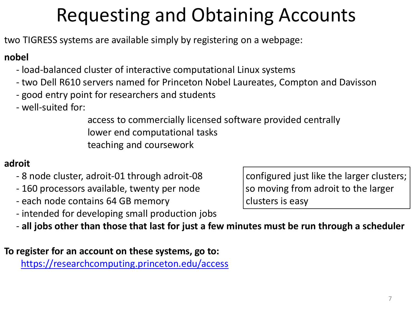# Requesting and Obtaining Accounts

two TIGRESS systems are available simply by registering on a webpage:

#### **nobel**

- load-balanced cluster of interactive computational Linux systems
- two Dell R610 servers named for Princeton Nobel Laureates, Compton and Davisson
- good entry point for researchers and students
- well-suited for:

access to commercially licensed software provided centrally lower end computational tasks teaching and coursework

#### **adroit**

- 8 node cluster, adroit-01 through adroit-08 configured just like the larger clusters;
- 160 processors available, twenty per node so so moving from adroit to the larger
- each node contains 64 GB memory clusters is easy
- intended for developing small production jobs

- **all jobs other than those that last for just a few minutes must be run through a scheduler**

**To register for an account on these systems, go to:** <https://researchcomputing.princeton.edu/access>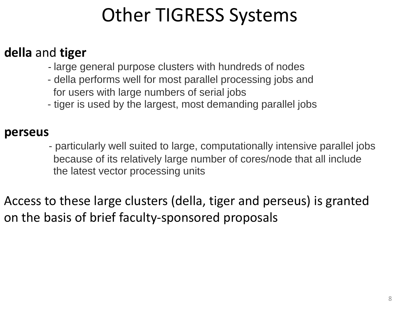## Other TIGRESS Systems

#### **della** and **tiger**

- large general purpose clusters with hundreds of nodes
- della performs well for most parallel processing jobs and for users with large numbers of serial jobs
- tiger is used by the largest, most demanding parallel jobs

#### **perseus**

- particularly well suited to large, computationally intensive parallel jobs because of its relatively large number of cores/node that all include the latest vector processing units

Access to these large clusters (della, tiger and perseus) is granted on the basis of brief faculty-sponsored proposals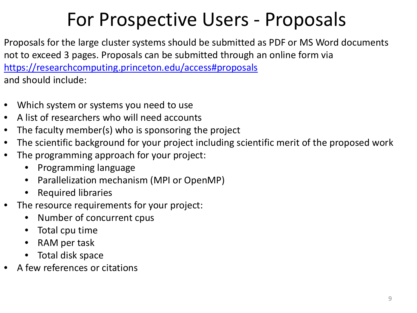#### For Prospective Users - Proposals

Proposals for the large cluster systems should be submitted as PDF or MS Word documents not to exceed 3 pages. Proposals can be submitted through an online form via <https://researchcomputing.princeton.edu/access#proposals> and should include:

- Which system or systems you need to use
- A list of researchers who will need accounts
- The faculty member(s) who is sponsoring the project
- The scientific background for your project including scientific merit of the proposed work
- The programming approach for your project:
	- Programming language
	- Parallelization mechanism (MPI or OpenMP)
	- Required libraries
- The resource requirements for your project:
	- Number of concurrent cpus
	- Total cpu time
	- RAM per task
	- Total disk space
- A few references or citations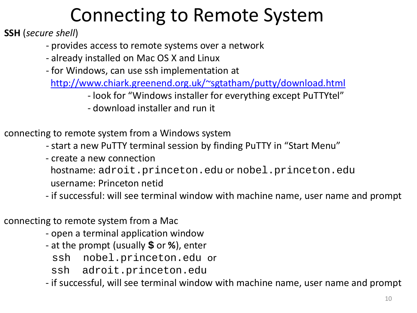## Connecting to Remote System

**SSH** (*secure shell*)

- provides access to remote systems over a network
- already installed on Mac OS X and Linux
- for Windows, can use ssh implementation at

[http://www.chiark.greenend.org.uk/~sgtatham/putty/download.html](http://www.chiark.greenend.org.uk/%7Esgtatham/putty/download.html)

- look for "Windows installer for everything except PuTTYtel"
- download installer and run it

connecting to remote system from a Windows system

- start a new PuTTY terminal session by finding PuTTY in "Start Menu"
- create a new connection

hostname: adroit.princeton.edu or nobel.princeton.edu

- username: Princeton netid
- if successful: will see terminal window with machine name, user name and prompt

connecting to remote system from a Mac

- open a terminal application window
- at the prompt (usually **\$** or **%**), enter

ssh nobel.princeton.edu or

ssh adroit.princeton.edu

- if successful, will see terminal window with machine name, user name and prompt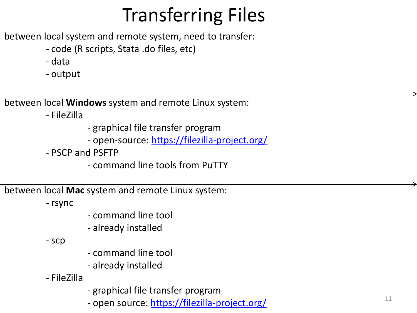between local system and remote system, need to transfer:

- code (R scripts, Stata .do files, etc)
- data
- output

between local **Windows** system and remote Linux system:

- FileZilla

- graphical file transfer program
- open-source:<https://filezilla-project.org/>
- PSCP and PSFTP
	- command line tools from PuTTY

between local **Mac** system and remote Linux system:

- rsync

- command line tool
- already installed

- scp

- command line tool
- already installed
- FileZilla
- graphical file transfer program
- open source: <https://filezilla-project.org/>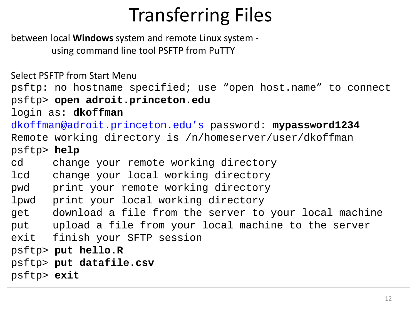between local **Windows** system and remote Linux system using command line tool PSFTP from PuTTY

Select PSFTP from Start Menu

```
psftp: no hostname specified; use "open host.name" to connect
psftp> open adroit.princeton.edu
login as: dkoffman
dkoffman@adroit.princeton.edu's password: mypassword1234
Remote working directory is /n/homeserver/user/dkoffman
psftp> help
cd change your remote working directory
lcd change your local working directory
pwd print your remote working directory
lpwd print your local working directory
get download a file from the server to your local machine
put upload a file from your local machine to the server
exit finish your SFTP session
psftp> put hello.R
psftp> put datafile.csv
psftp> exit
```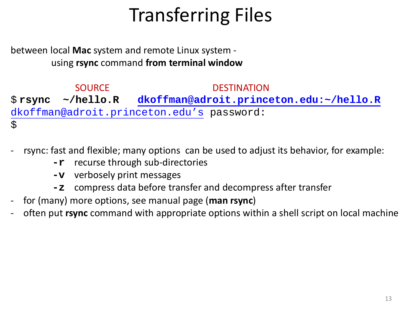between local **Mac** system and remote Linux system using **rsync** command **from terminal window** 

SOURCE DESTINATION \$ **rsync ~/hello.R [dkoffman@adroit.princeton.edu:~/hello.R](mailto:dkoffman@adroit.princeton.edu:%7E/hello.R)** [dkoffman@adroit.princeton.edu's](mailto:dkoffman@nobel.princeton.edu%E2%80%99s) password:  $\boldsymbol{\zeta}$ 

- rsync: fast and flexible; many options can be used to adjust its behavior, for example:
	- **-r** recurse through sub-directories
	- **-v** verbosely print messages
	- **-z** compress data before transfer and decompress after transfer
- for (many) more options, see manual page (**man rsync**)
- often put **rsync** command with appropriate options within a shell script on local machine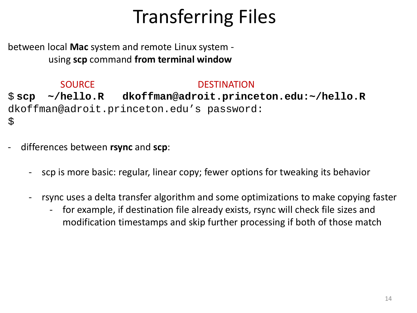between local **Mac** system and remote Linux system using **scp** command **from terminal window** 

SOURCE DESTINATION \$ **scp ~/hello.R dkoffman@adroit.princeton.edu:~/hello.R** dkoffman@adroit.princeton.edu's password:  $\boldsymbol{\zeta}$ 

- differences between **rsync** and **scp**:
	- scp is more basic: regular, linear copy; fewer options for tweaking its behavior
	- rsync uses a delta transfer algorithm and some optimizations to make copying faster
		- for example, if destination file already exists, rsync will check file sizes and modification timestamps and skip further processing if both of those match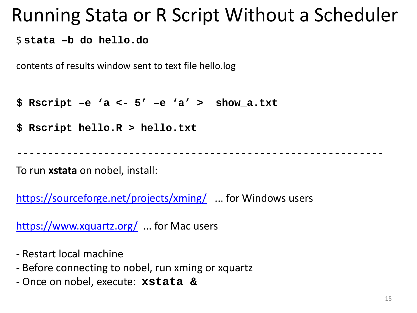#### Running Stata or R Script Without a Scheduler

\$ **stata –b do hello.do**

contents of results window sent to text file hello.log

**\$ Rscript –e 'a <- 5' –e 'a' > show\_a.txt**

**\$ Rscript hello.R > hello.txt**

**-----------------------------------------------------------**

To run **xstata** on nobel, install:

<https://sourceforge.net/projects/xming/> ... for Windows users

<https://www.xquartz.org/> ... for Mac users

- Restart local machine
- Before connecting to nobel, run xming or xquartz
- Once on nobel, execute: **xstata &**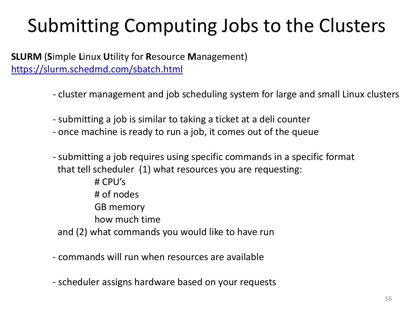# Submitting Computing Jobs to the Clusters

**SLURM** (**S**imple **L**inux **U**tility for **R**esource **M**anagement) <https://slurm.schedmd.com/sbatch.html>

- cluster management and job scheduling system for large and small Linux clusters
- submitting a job is similar to taking a ticket at a deli counter
- once machine is ready to run a job, it comes out of the queue
- submitting a job requires using specific commands in a specific format that tell scheduler (1) what resources you are requesting:
- # CPU's # of nodes GB memory how much time and (2) what commands you would like to have run
- commands will run when resources are available
- scheduler assigns hardware based on your requests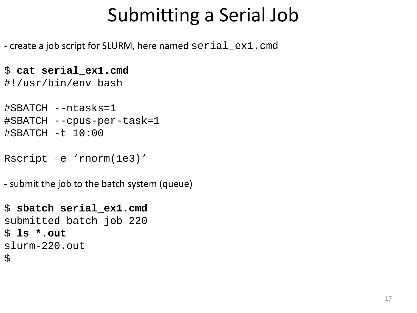## Submitting a Serial Job

- create a job script for SLURM, here named serial\_ex1.cmd

```
$ cat serial_ex1.cmd
#!/usr/bin/env bash
```

```
#SBATCH --ntasks=1 
#SBATCH --cpus-per-task=1
#SBATCH -t 10:00
```

```
Rscript –e 'rnorm(1e3)'
```
- submit the job to the batch system (queue)

```
$ sbatch serial_ex1.cmd
submitted batch job 220
$ ls *.out
slurm-220.out
\boldsymbol{\zeta}
```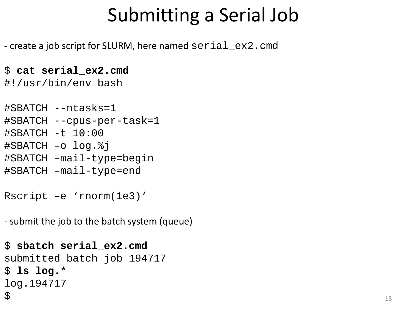## Submitting a Serial Job

- create a job script for SLURM, here named serial\_ex2.cmd

```
$ cat serial_ex2.cmd
#!/usr/bin/env bash
```

```
#SBATCH --ntasks=1 
#SBATCH --cpus-per-task=1
#SBATCH -t 10:00
#SBATCH –o log.%j
#SBATCH –mail-type=begin
#SBATCH –mail-type=end
```
Rscript –e 'rnorm(1e3)'

- submit the job to the batch system (queue)

```
$ sbatch serial_ex2.cmd
submitted batch job 194717
$ ls log.*
log.194717
\boldsymbol{\mathsf{S}}
```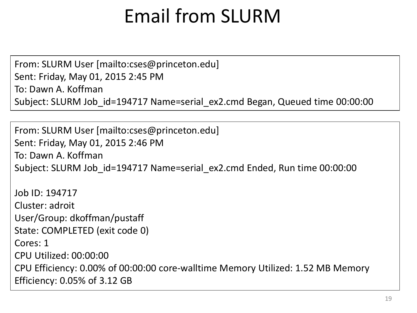## Email from SLURM

From: SLURM User [mailto:cses@princeton.edu] Sent: Friday, May 01, 2015 2:45 PM To: Dawn A. Koffman Subject: SLURM Job\_id=194717 Name=serial\_ex2.cmd Began, Queued time 00:00:00

From: SLURM User [mailto:cses@princeton.edu] Sent: Friday, May 01, 2015 2:46 PM To: Dawn A. Koffman Subject: SLURM Job\_id=194717 Name=serial\_ex2.cmd Ended, Run time 00:00:00

Job ID: 194717 Cluster: adroit User/Group: dkoffman/pustaff State: COMPLETED (exit code 0) Cores: 1 CPU Utilized: 00:00:00 CPU Efficiency: 0.00% of 00:00:00 core-walltime Memory Utilized: 1.52 MB Memory Efficiency: 0.05% of 3.12 GB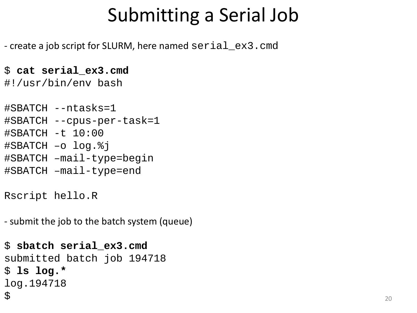## Submitting a Serial Job

- create a job script for SLURM, here named serial\_ex3.cmd

```
$ cat serial_ex3.cmd
#!/usr/bin/env bash
```

```
#SBATCH --ntasks=1 
#SBATCH --cpus-per-task=1
#SBATCH -t 10:00
#SBATCH –o log.%j
#SBATCH –mail-type=begin
#SBATCH –mail-type=end
```
Rscript hello.R

- submit the job to the batch system (queue)

```
$ sbatch serial_ex3.cmd
submitted batch job 194718
$ ls log.*
log.194718
\boldsymbol{\mathsf{S}}
```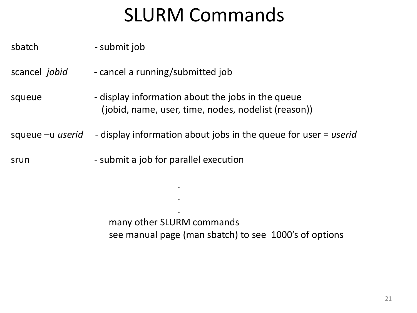### SLURM Commands

sbatch - submit job

scancel *jobid* - cancel a running/submitted job

squeue - display information about the jobs in the queue (jobid, name, user, time, nodes, nodelist (reason))

squeue –u *userid -* display information about jobs in the queue for user = *userid*

.

.

.

srun *-* submit a job for parallel execution

many other SLURM commands see manual page (man sbatch) to see 1000's of options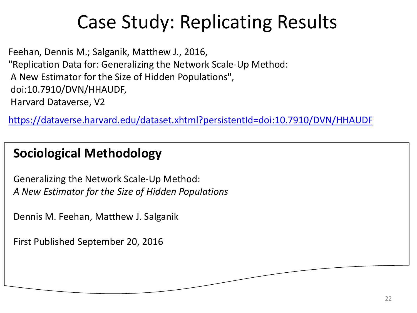# Case Study: Replicating Results

Feehan, Dennis M.; Salganik, Matthew J., 2016, "Replication Data for: Generalizing the Network Scale-Up Method: A New Estimator for the Size of Hidden Populations", doi:10.7910/DVN/HHAUDF, Harvard Dataverse, V2

<https://dataverse.harvard.edu/dataset.xhtml?persistentId=doi:10.7910/DVN/HHAUDF>

#### **Sociological Methodology**

Generalizing the Network Scale-Up Method: *A New Estimator for the Size of Hidden Populations*

Dennis M. Feehan, Matthew J. Salganik

First Published September 20, 2016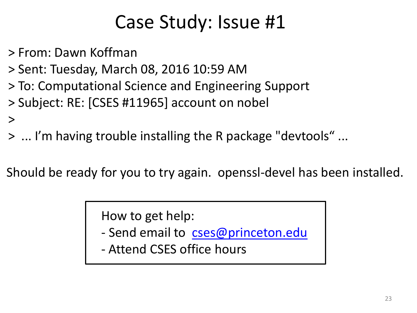> From: Dawn Koffman

 $\geq$ 

- > Sent: Tuesday, March 08, 2016 10:59 AM
- > To: Computational Science and Engineering Support
- > Subject: RE: [CSES #11965] account on nobel
- > ... I'm having trouble installing the R package "devtools" ...

Should be ready for you to try again. openssl-devel has been installed.

How to get help:

- Send email to [cses@princeton.edu](mailto:cses@princeton.edu)
- Attend CSES office hours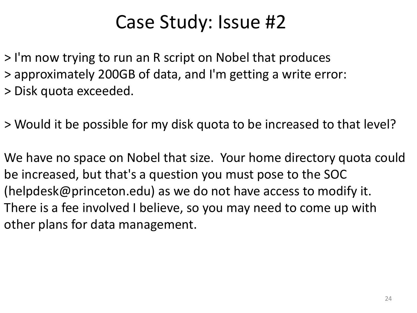> I'm now trying to run an R script on Nobel that produces > approximately 200GB of data, and I'm getting a write error: > Disk quota exceeded.

> Would it be possible for my disk quota to be increased to that level?

We have no space on Nobel that size. Your home directory quota could be increased, but that's a question you must pose to the SOC (helpdesk@princeton.edu) as we do not have access to modify it. There is a fee involved I believe, so you may need to come up with other plans for data management.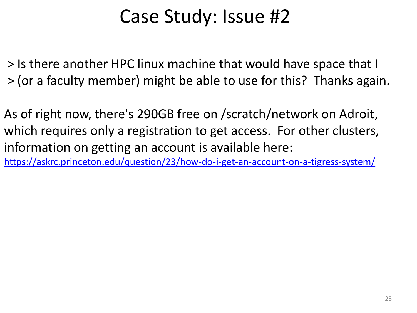> Is there another HPC linux machine that would have space that I > (or a faculty member) might be able to use for this? Thanks again.

As of right now, there's 290GB free on /scratch/network on Adroit, which requires only a registration to get access. For other clusters, information on getting an account is available here: <https://askrc.princeton.edu/question/23/how-do-i-get-an-account-on-a-tigress-system/>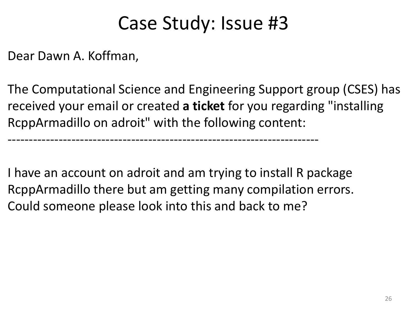Dear Dawn A. Koffman,

The Computational Science and Engineering Support group (CSES) has received your email or created **a ticket** for you regarding "installing RcppArmadillo on adroit" with the following content:

I have an account on adroit and am trying to install R package RcppArmadillo there but am getting many compilation errors. Could someone please look into this and back to me?

-------------------------------------------------------------------------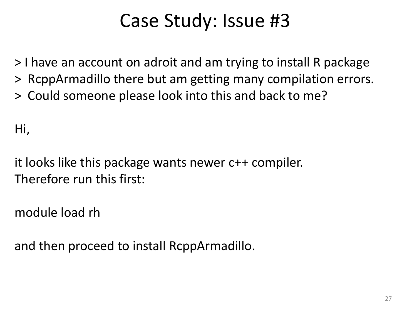> I have an account on adroit and am trying to install R package

- > RcppArmadillo there but am getting many compilation errors.
- > Could someone please look into this and back to me?

Hi,

it looks like this package wants newer c++ compiler. Therefore run this first:

module load rh

and then proceed to install RcppArmadillo.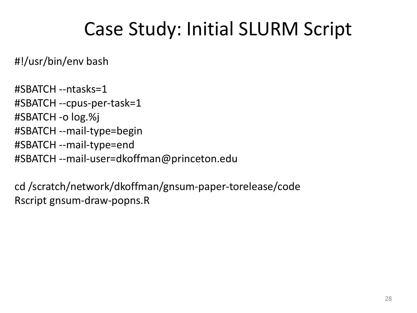#### Case Study: Initial SLURM Script

#!/usr/bin/env bash

#SBATCH --ntasks=1 #SBATCH --cpus-per-task=1 #SBATCH -o log.%j #SBATCH --mail-type=begin #SBATCH --mail-type=end #SBATCH --mail-user=dkoffman@princeton.edu

cd /scratch/network/dkoffman/gnsum-paper-torelease/code Rscript gnsum-draw-popns.R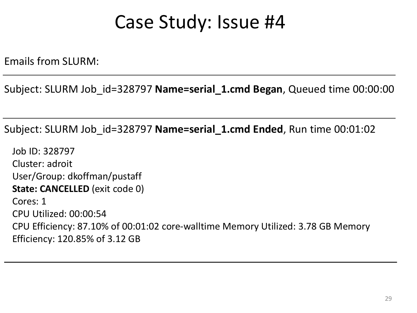Emails from SLURM:

Subject: SLURM Job\_id=328797 **Name=serial\_1.cmd Began**, Queued time 00:00:00

Subject: SLURM Job\_id=328797 **Name=serial\_1.cmd Ended**, Run time 00:01:02

Job ID: 328797 Cluster: adroit User/Group: dkoffman/pustaff **State: CANCELLED** (exit code 0) Cores: 1 CPU Utilized: 00:00:54 CPU Efficiency: 87.10% of 00:01:02 core-walltime Memory Utilized: 3.78 GB Memory Efficiency: 120.85% of 3.12 GB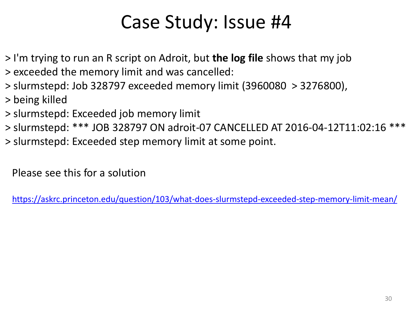- > I'm trying to run an R script on Adroit, but **the log file** shows that my job
- > exceeded the memory limit and was cancelled:
- > slurmstepd: Job 328797 exceeded memory limit (3960080 > 3276800),
- > being killed
- > slurmstepd: Exceeded job memory limit
- > slurmstepd: \*\*\* JOB 328797 ON adroit-07 CANCELLED AT 2016-04-12T11:02:16 \*\*\*
- > slurmstepd: Exceeded step memory limit at some point.

Please see this for a solution

<https://askrc.princeton.edu/question/103/what-does-slurmstepd-exceeded-step-memory-limit-mean/>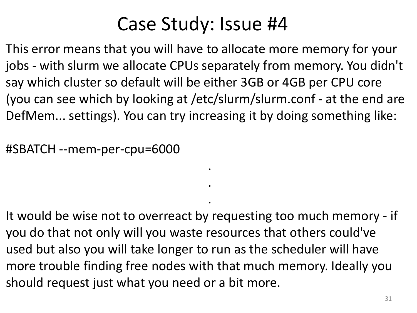This error means that you will have to allocate more memory for your jobs - with slurm we allocate CPUs separately from memory. You didn't say which cluster so default will be either 3GB or 4GB per CPU core (you can see which by looking at /etc/slurm/slurm.conf - at the end are DefMem... settings). You can try increasing it by doing something like:

.

.

.

#SBATCH --mem-per-cpu=6000

It would be wise not to overreact by requesting too much memory - if you do that not only will you waste resources that others could've used but also you will take longer to run as the scheduler will have more trouble finding free nodes with that much memory. Ideally you should request just what you need or a bit more.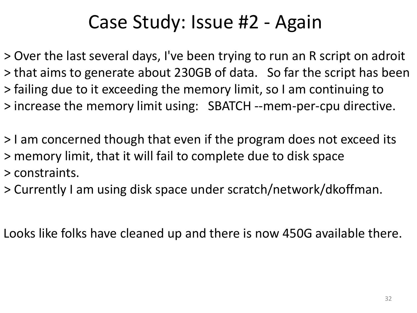#### Case Study: Issue #2 - Again

> Over the last several days, I've been trying to run an R script on adroit > that aims to generate about 230GB of data. So far the script has been > failing due to it exceeding the memory limit, so I am continuing to > increase the memory limit using: SBATCH --mem-per-cpu directive.

> I am concerned though that even if the program does not exceed its > memory limit, that it will fail to complete due to disk space > constraints.

> Currently I am using disk space under scratch/network/dkoffman.

Looks like folks have cleaned up and there is now 450G available there.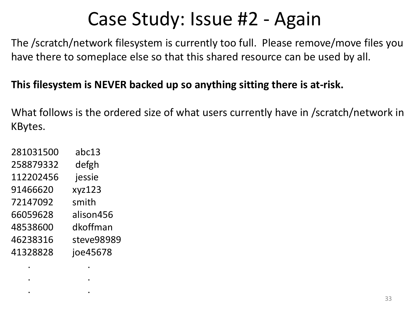## Case Study: Issue #2 - Again

The /scratch/network filesystem is currently too full. Please remove/move files you have there to someplace else so that this shared resource can be used by all.

#### **This filesystem is NEVER backed up so anything sitting there is at-risk.**

What follows is the ordered size of what users currently have in /scratch/network in KBytes.

| 281031500 | abc13      |
|-----------|------------|
| 258879332 | defgh      |
| 112202456 | jessie     |
| 91466620  | xyz123     |
| 72147092  | smith      |
| 66059628  | alison456  |
| 48538600  | dkoffman   |
| 46238316  | steve98989 |
| 41328828  | joe45678   |
|           |            |

. .

. .

. .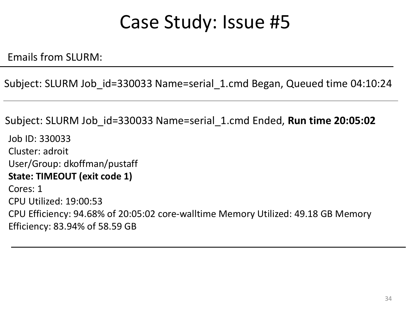Emails from SLURM:

Subject: SLURM Job\_id=330033 Name=serial\_1.cmd Began, Queued time 04:10:24

Subject: SLURM Job\_id=330033 Name=serial\_1.cmd Ended, **Run time 20:05:02**

Job ID: 330033 Cluster: adroit User/Group: dkoffman/pustaff **State: TIMEOUT (exit code 1)** Cores: 1 CPU Utilized: 19:00:53 CPU Efficiency: 94.68% of 20:05:02 core-walltime Memory Utilized: 49.18 GB Memory Efficiency: 83.94% of 58.59 GB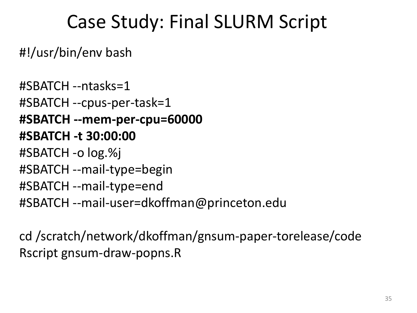#### Case Study: Final SLURM Script

#!/usr/bin/env bash

#SBATCH --ntasks=1 #SBATCH --cpus-per-task=1 **#SBATCH --mem-per-cpu=60000 #SBATCH -t 30:00:00** #SBATCH -o log.%j #SBATCH --mail-type=begin #SBATCH --mail-type=end #SBATCH --mail-user=dkoffman@princeton.edu

cd /scratch/network/dkoffman/gnsum-paper-torelease/code Rscript gnsum-draw-popns.R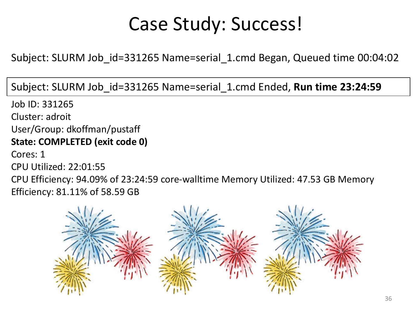### Case Study: Success!

Subject: SLURM Job\_id=331265 Name=serial\_1.cmd Began, Queued time 00:04:02

Subject: SLURM Job\_id=331265 Name=serial\_1.cmd Ended, **Run time 23:24:59**

Job ID: 331265 Cluster: adroit User/Group: dkoffman/pustaff **State: COMPLETED (exit code 0)** Cores: 1 CPU Utilized: 22:01:55 CPU Efficiency: 94.09% of 23:24:59 core-walltime Memory Utilized: 47.53 GB Memory Efficiency: 81.11% of 58.59 GB

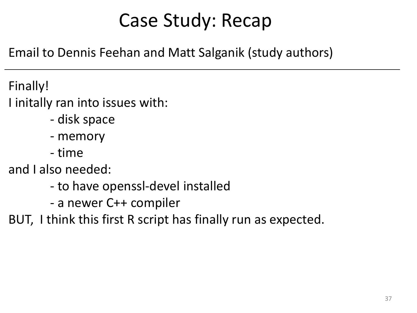# Case Study: Recap

Email to Dennis Feehan and Matt Salganik (study authors)

Finally!

I initally ran into issues with:

- disk space
- memory
- time

and I also needed:

- to have openssl-devel installed
- a newer C++ compiler
- BUT, I think this first R script has finally run as expected.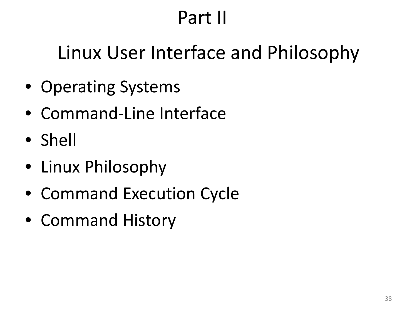# Part II

# Linux User Interface and Philosophy

- Operating Systems
- Command-Line Interface
- Shell
- Linux Philosophy
- Command Execution Cycle
- Command History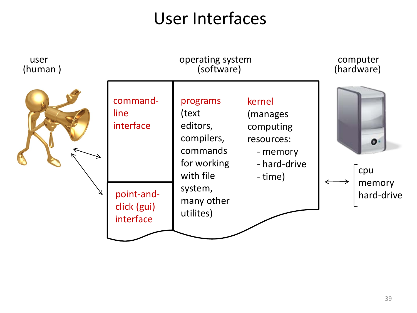# User Interfaces

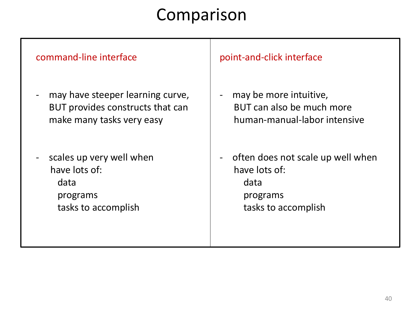#### Comparison

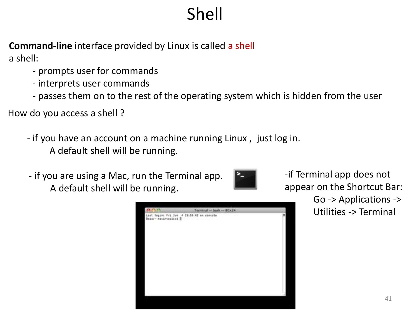# Shell

**Command-line** interface provided by Linux is called a shell a shell:

- prompts user for commands
- interprets user commands
- passes them on to the rest of the operating system which is hidden from the user

How do you access a shell ?

- if you have an account on a machine running Linux , just log in. A default shell will be running.
- if you are using a Mac, run the Terminal app. A default shell will be running.





-if Terminal app does not appear on the Shortcut Bar: Go -> Applications -> Utilities -> Terminal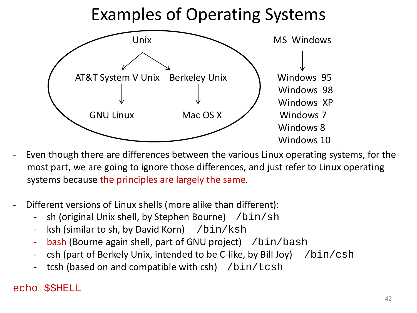### Examples of Operating Systems



- Even though there are differences between the various Linux operating systems, for the most part, we are going to ignore those differences, and just refer to Linux operating systems because the principles are largely the same.
- Different versions of Linux shells (more alike than different):
	- $sh$  (original Unix shell, by Stephen Bourne) /bin/sh
	- ksh (similar to sh, by David Korn)  $/bin/ksh$
	- bash (Bourne again shell, part of GNU project) /bin/bash
	- csh (part of Berkely Unix, intended to be C-like, by Bill Joy)  $/$ bin/csh
	- tcsh (based on and compatible with csh)  $/bin/tcsh$

#### echo \$SHELL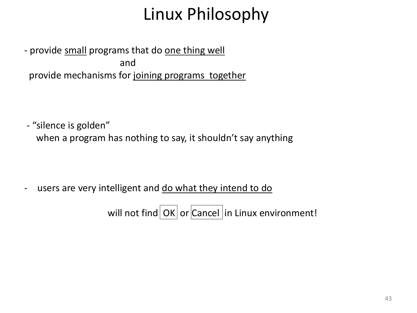# Linux Philosophy

- provide small programs that do one thing well and provide mechanisms for joining programs together

- "silence is golden" when a program has nothing to say, it shouldn't say anything

- users are very intelligent and do what they intend to do

will not find  $\alpha$ K or Cancel in Linux environment!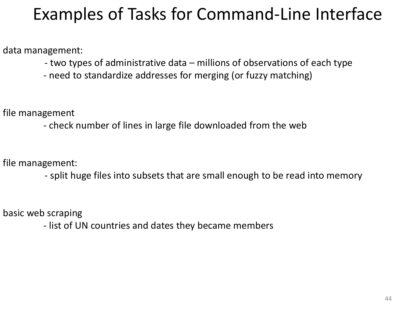## Examples of Tasks for Command-Line Interface

data management:

- two types of administrative data – millions of observations of each type

- need to standardize addresses for merging (or fuzzy matching)

file management

- check number of lines in large file downloaded from the web

file management:

- split huge files into subsets that are small enough to be read into memory

basic web scraping

- list of UN countries and dates they became members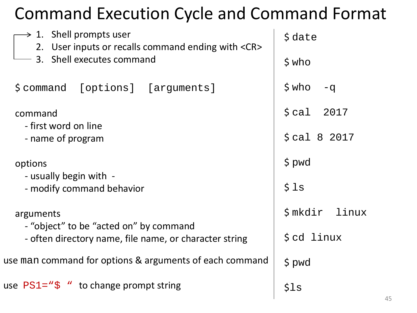## Command Execution Cycle and Command Format

| $\rightarrow$ 1. Shell prompts user<br>2. User inputs or recalls command ending with <cr><br/>3. Shell executes command</cr> | $\textsf{State}$         |
|------------------------------------------------------------------------------------------------------------------------------|--------------------------|
|                                                                                                                              | $$$ who                  |
| \$command [options] [arguments]                                                                                              | $$$ who<br>$-q$          |
| command<br>- first word on line                                                                                              | $\text{\$cal}$ cal 2017  |
| - name of program                                                                                                            | $\frac{2}{3}$ cal 8 2017 |
| options<br>- usually begin with -                                                                                            | $$$ pwd                  |
| - modify command behavior                                                                                                    | \$1s                     |
| arguments<br>- "object" to be "acted on" by command                                                                          | \$mkdir<br>linux         |
| - often directory name, file name, or character string                                                                       | \$cd linux               |
| use man command for options & arguments of each command                                                                      | $$$ pwd                  |
| use $PS1 = "S"$ to change prompt string                                                                                      | \$1s                     |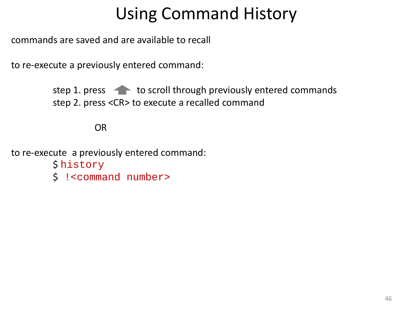# Using Command History

commands are saved and are available to recall

to re-execute a previously entered command:

step 1. press  $\leftarrow$  to scroll through previously entered commands step 2. press <CR> to execute a recalled command

OR

to re-execute a previously entered command: \$ history

\$ !<command number>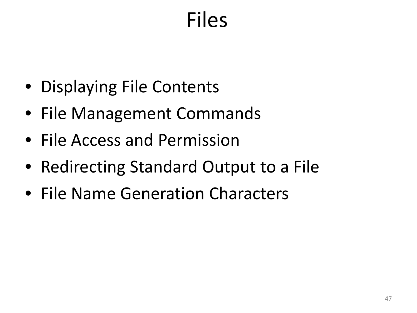# Files

- Displaying File Contents
- File Management Commands
- File Access and Permission
- Redirecting Standard Output to a File
- File Name Generation Characters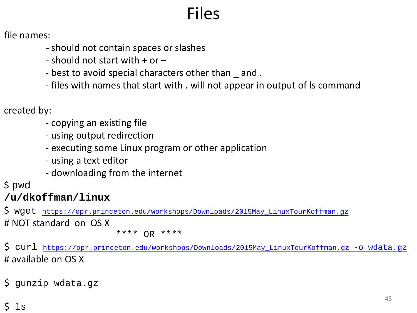# Files

file names:

- should not contain spaces or slashes
- $-$  should not start with  $+$  or  $-$
- best to avoid special characters other than  $\_$  and .
- files with names that start with . will not appear in output of ls command

created by:

- copying an existing file
- using output redirection
- executing some Linux program or other application
- using a text editor
- downloading from the internet

\$ pwd

#### **/u/dkoffman/linux**

\$ wget [https://opr.princeton.edu/workshops/Downloads/2015May\\_LinuxTourKoffman.gz](https://opr.princeton.edu/workshops/Downloads/2015May_LinuxTourKoffman.gz) # NOT standard on OS X

\*\*\*\* OR \*\*\*\*

\$ curl [https://opr.princeton.edu/workshops/Downloads/2015May\\_LinuxTourKoffman.gz -o wdata.gz](http://opr.princeton.edu/workshops/201401/wdata.z%20-o%20wdata.z) # available on OS X

\$ gunzip wdata.gz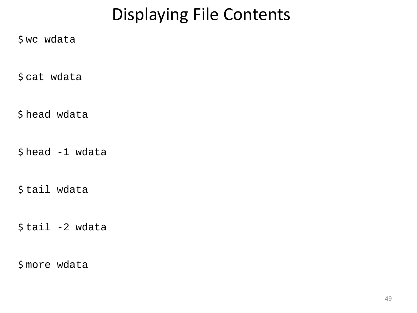# Displaying File Contents

\$ wc wdata

\$ cat wdata

\$ head wdata

\$ head -1 wdata

\$ tail wdata

 $$ tail -2 wdata$ 

\$ more wdata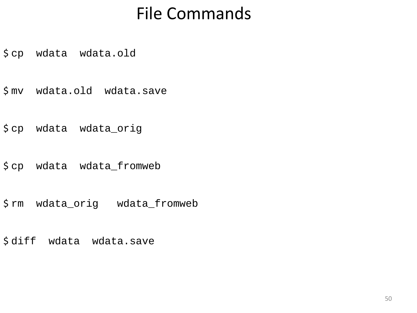### File Commands

\$ cp wdata wdata.old

\$ mv wdata.old wdata.save

\$ cp wdata wdata\_orig

\$ cp wdata wdata\_fromweb

\$ rm wdata\_orig wdata\_fromweb

\$ diff wdata wdata.save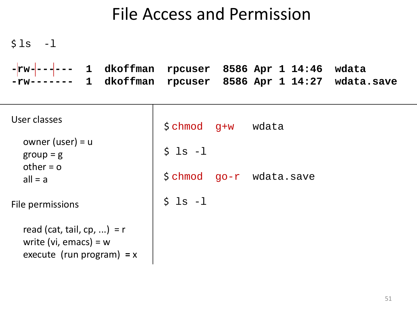#### File Access and Permission

| $$1s$ -1                                                                               |                            |                                     |       |
|----------------------------------------------------------------------------------------|----------------------------|-------------------------------------|-------|
| $-$ rw $-$ -- $-$<br>1 dkoffman<br>1 dkoffman<br>$-\text{rw}$ ------                   | rpcuser 8586 Apr 1 14:46   | rpcuser 8586 Apr 1 14:27 wdata.save | wdata |
| User classes<br>owner (user) = $u$                                                     | $\text{\$chmod}$ q+w wdata |                                     |       |
| $group = g$<br>other $= 0$                                                             | $$ls -1$                   |                                     |       |
| $all = a$                                                                              |                            |                                     |       |
| File permissions                                                                       | $$ls -1$                   |                                     |       |
| read (cat, tail, cp, ) = $r$<br>write (vi, emacs) = $w$<br>execute (run program) = $x$ |                            |                                     |       |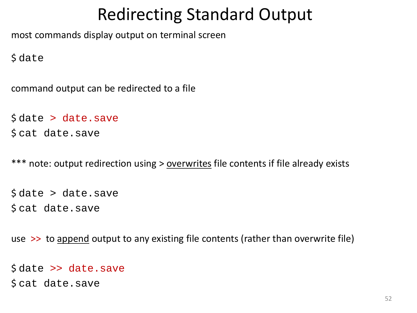### Redirecting Standard Output

most commands display output on terminal screen

\$ date

command output can be redirected to a file

```
$ date > date.save
$ cat date.save
```
\*\*\* note: output redirection using > overwrites file contents if file already exists

```
$ date > date.save
$ cat date.save
```
use >> to append output to any existing file contents (rather than overwrite file)

```
$ date >> date.save
$ cat date.save
```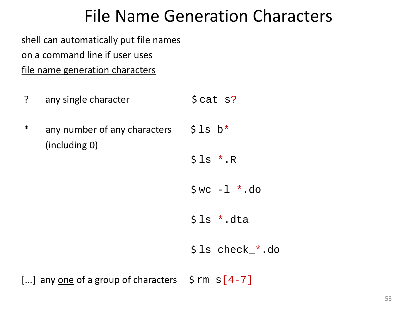#### File Name Generation Characters

shell can automatically put file names

on a command line if user uses

file name generation characters

- ? any single character \$ cat s?
- \* any number of any characters  $\frac{1}{2}$  S 1s b\* (including 0)

 $$1s$  \*.R

- $$wc -1$  \*.do
- $$ls$  \*.dta

\$ ls check\_\*.do

[...] any <u>one</u> of a group of characters  $\sin \theta$  rm  $\sin \theta$  = 7]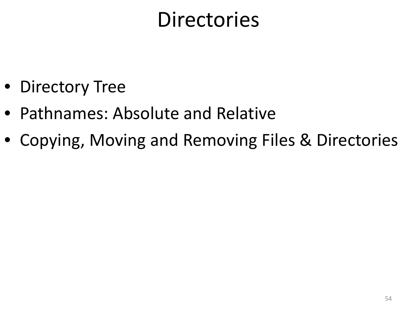# **Directories**

- Directory Tree
- Pathnames: Absolute and Relative
- Copying, Moving and Removing Files & Directories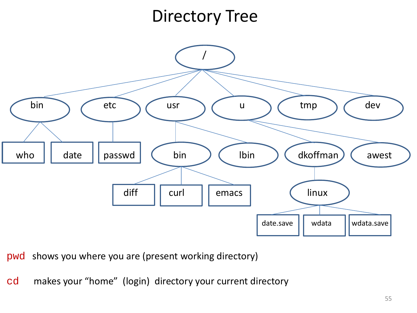## Directory Tree



pwd shows you where you are (present working directory)

cd makes your "home" (login) directory your current directory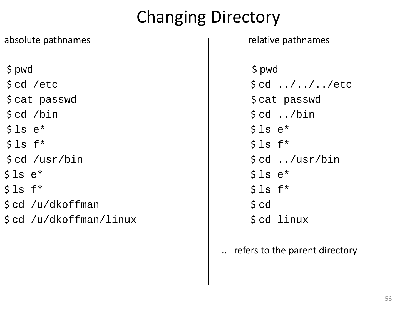# Changing Directory

| absolute pathnames           | relative                       |
|------------------------------|--------------------------------|
| $$$ pwd                      | $$$ pwd                        |
| $\textsf{S}$ cd /etc         | \$ cd                          |
| \$ cat passwd                | $\frac{1}{2}$ cat              |
| $\text{\$cd \texttt{/bin}$}$ | $\frac{1}{2}$ cd               |
| $$ls e*$                     | \$1s                           |
| $$ls$ f*                     | \$1s                           |
| $\text{\$cd \ /usr/bin}$     | $\frac{1}{2}$ cd               |
| $$ls e*$                     | \$1s                           |
| $$ls$ f*                     | \$1s                           |
| $\text{\$cd \ /u/dkoffman}$  | $\operatorname{\mathsf{S}}$ cd |
| \$cd /u/dkoffman/linux       | $\operatorname{\mathsf{S}}$ cd |
|                              |                                |

#### relative pathnames

 $$ cd . . / . . / . . / etc$ \$ cat passwd \$ cat passwd  $\dots$ /bin  $$ls e*$  $$ls f*$  $\text{\$ cd}$  ../usr/bin  $$ls e*$  $$ls f*$  $\text{\$ cd \ } \text{linux}$ 

#### .. refers to the parent directory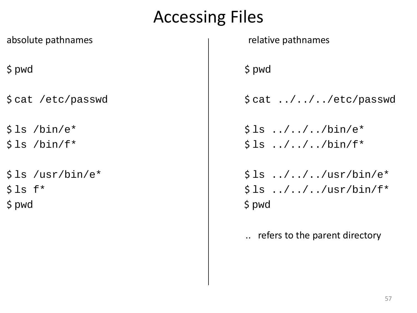### Accessing Files

absolute pathnames absolute pathnames absolute pathnames \$ pwd \$ pwd  $$ls /bin/e*$   $$\s1s ./../../bin/e*$  $$ls /bin/f*$   $$\$ls . ./../bin/f*$$ \$ pwd \$ pwd

 $$cat /etc/passwd$   $$cat ./././etc/passwd$  $$ls$  /usr/bin/e\*  $$\s1s$  ../../../usr/bin/e\*  $$ls f*$   $$\$ls ./../usr/bin/f*$ 

.. refers to the parent directory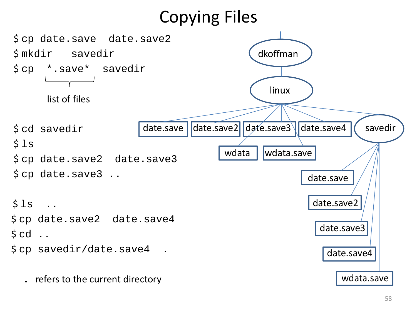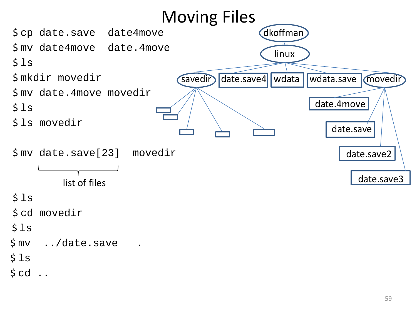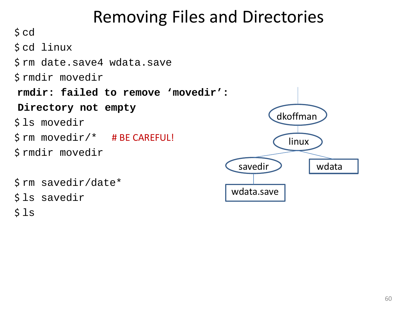## Removing Files and Directories

 $\mathsf{S}$  cd \$ cd linux \$ rm date.save4 wdata.save \$ rmdir movedir **rmdir: failed to remove 'movedir': Directory not empty**  \$ ls movedir \$ rm movedir/\* # BE CAREFUL! \$ rmdir movedir \$ rm savedir/date\* \$ ls savedir  $$1s$ dkoffman linux savedir > vdata wdata.save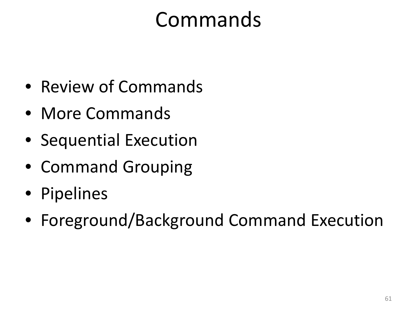# Commands

- Review of Commands
- More Commands
- Sequential Execution
- Command Grouping
- Pipelines
- Foreground/Background Command Execution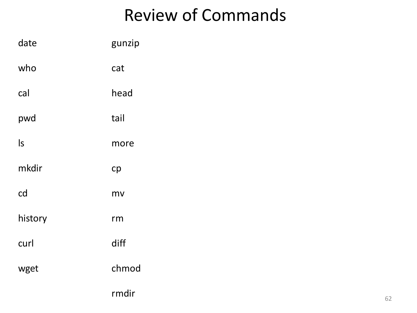# Review of Commands

| date                   | gunzip |
|------------------------|--------|
| who                    | cat    |
| cal                    | head   |
| pwd                    | tail   |
| $\mathsf{I}\mathsf{s}$ | more   |
| mkdir                  | cp     |
| cd                     | mv     |
| history                | rm     |
| curl                   | diff   |
| wget                   | chmod  |
|                        | rmdir  |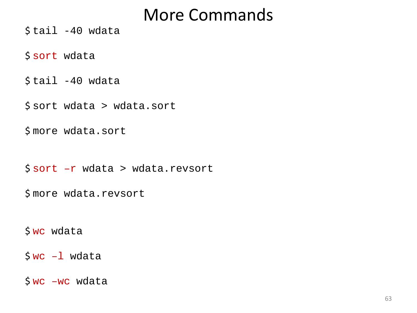$$ tail -40 wdata$ 

\$ sort wdata

 $$ tail -40 wdata$ 

\$ sort wdata > wdata.sort

\$ more wdata.sort

 $S<sub>sort</sub> -r$  wdata > wdata.revsort

\$ more wdata.revsort

\$ wc wdata

 $$wc -1$  wdata

 $Swc$  –wc wdata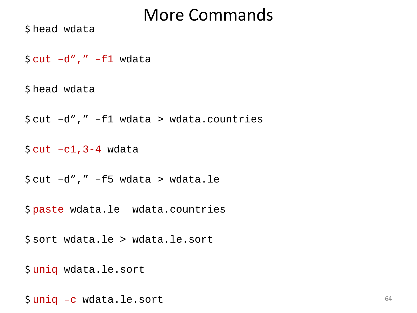\$ head wdata

 $Scut -d", " -f1 wdata$ 

\$ head wdata

 $\frac{1}{2}$  cut  $-d''$ ," -f1 wdata > wdata.countries

 $\text{\textsterling}$  cut  $-c1$ , 3-4 wdata

 $\text{\$cut } -\text{d}''$ ,"  $-\text{\$f5}$  wdata > wdata.le

\$ paste wdata.le wdata.countries

\$ sort wdata.le > wdata.le.sort

\$ uniq wdata.le.sort

\$ uniq –c wdata.le.sort <sup>64</sup>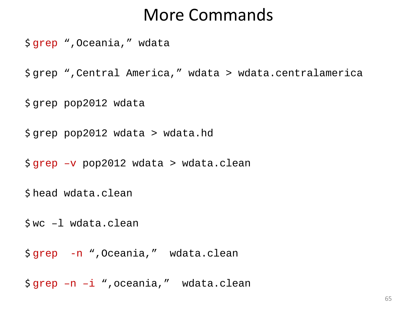\$ grep ",Oceania," wdata

\$ grep ",Central America," wdata > wdata.centralamerica

\$ grep pop2012 wdata

\$ grep pop2012 wdata > wdata.hd

\$ grep –v pop2012 wdata > wdata.clean

\$ head wdata.clean

\$ wc –l wdata.clean

\$ grep -n ",Oceania," wdata.clean

\$ grep –n –i ",oceania," wdata.clean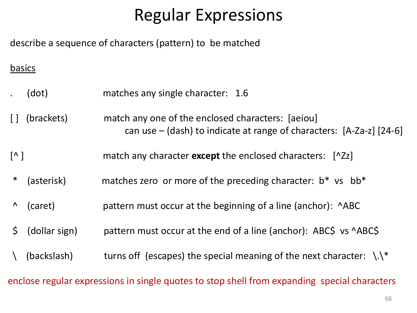# Regular Expressions

describe a sequence of characters (pattern) to be matched

#### basics

- . (dot) matches any single character: 1.6
- [ ] (brackets) match any one of the enclosed characters: [aeiou] can use – (dash) to indicate at range of characters: [A-Za-z] [24-6]
- [^ ] match any character **except** the enclosed characters: [^Zz]
- \* (asterisk) matches zero or more of the preceding character: b\* vs bb\*
- ^ (caret) pattern must occur at the beginning of a line (anchor): ^ABC
- \$ (dollar sign) pattern must occur at the end of a line (anchor): ABC\$ vs ^ABC\$
- $\Lambda$  (backslash) turns off (escapes) the special meaning of the next character:  $\Lambda$ .

enclose regular expressions in single quotes to stop shell from expanding special characters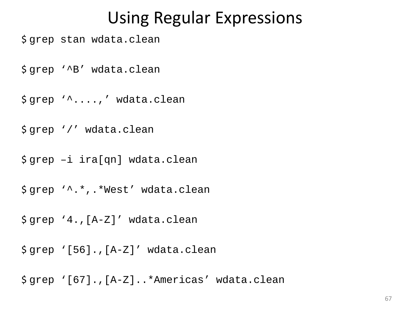#### Using Regular Expressions

\$ grep stan wdata.clean

\$ grep '^B' wdata.clean

\$ grep '^....,' wdata.clean

\$ grep '/' wdata.clean

\$ grep –i ira[qn] wdata.clean

\$ grep '^.\*,.\*West' wdata.clean

\$ grep '4.,[A-Z]' wdata.clean

\$ grep '[56].,[A-Z]' wdata.clean

\$ grep '[67].,[A-Z]..\*Americas' wdata.clean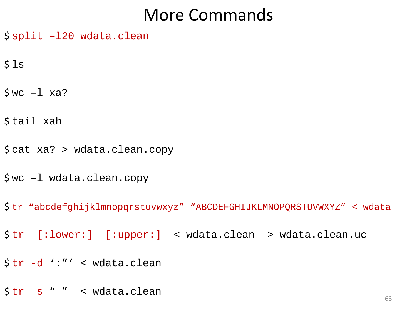- \$ split –l20 wdata.clean
- $$1s$
- $$wc -1 xa?$
- \$ tail xah
- \$ cat xa? > wdata.clean.copy
- \$ wc –l wdata.clean.copy
- \$ tr "abcdefghijklmnopqrstuvwxyz" "ABCDEFGHIJKLMNOPQRSTUVWXYZ" < wdata
- \$ tr [:lower:] [:upper:] < wdata.clean > wdata.clean.uc
- \$ tr -d ':"' < wdata.clean
- $\frac{\xi}{r}$  +s " " < wdata.clean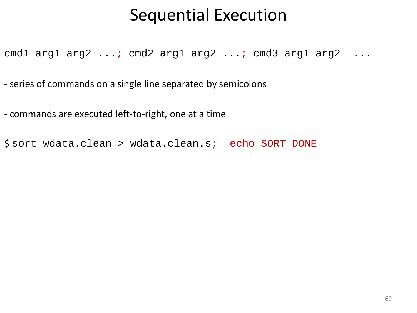#### Sequential Execution

cmd1 arg1 arg2 ...; cmd2 arg1 arg2 ...; cmd3 arg1 arg2 ...

- series of commands on a single line separated by semicolons

- commands are executed left-to-right, one at a time

\$ sort wdata.clean > wdata.clean.s; echo SORT DONE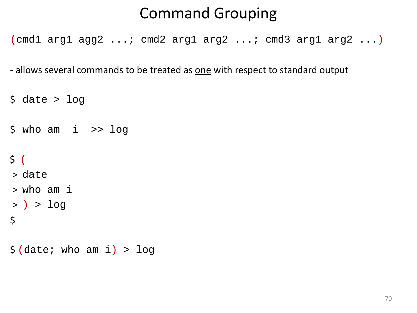#### Command Grouping

(cmd1 arg1 agg2 ...; cmd2 arg1 arg2 ...; cmd3 arg1 arg2 ...)

- allows several commands to be treated as one with respect to standard output

```
\diamond date > log
```
 $$ who am i >> log$ 

```
\zeta (
```

```
> date
```
- > who am i
- > ) > log
- $\zeta$
- $\frac{1}{2}$  (date; who am i) > log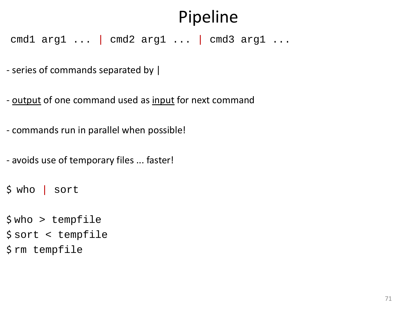# Pipeline

cmd1 arg1 ... | cmd2 arg1 ... | cmd3 arg1 ...

- series of commands separated by |

- output of one command used as input for next command
- commands run in parallel when possible!
- avoids use of temporary files ... faster!

```
$ who | sort
```

```
$ who > tempfile
$ sort < tempfile
$ rm tempfile
```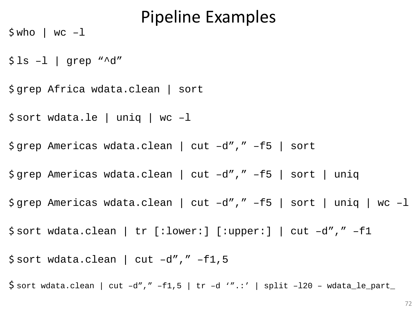#### Pipeline Examples

 $$ who$  | wc -1

 $$ls -l$  | grep "^d"

\$ grep Africa wdata.clean | sort

\$ sort wdata.le | uniq | wc –l

\$ grep Americas wdata.clean | cut –d"," –f5 | sort

\$ grep Americas wdata.clean | cut –d"," –f5 | sort | uniq

 $\frac{1}{2}$  grep Americas wdata.clean | cut -d"," -f5 | sort | uniq | wc -l

\$ sort wdata.clean | tr [:lower:] [:upper:] | cut –d"," –f1

\$ sort wdata.clean | cut –d"," –f1,5

 $\frac{1}{2}$  sort wdata.clean | cut -d"," -f1,5 | tr -d '".:' | split -120 - wdata\_le\_part\_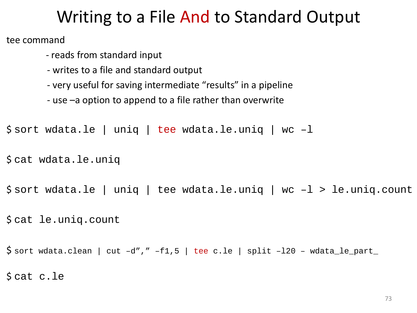## Writing to a File And to Standard Output

tee command

- reads from standard input
- writes to a file and standard output
- very useful for saving intermediate "results" in a pipeline
- use –a option to append to a file rather than overwrite

```
$ sort wdata.le | uniq | tee wdata.le.uniq | wc –l
```

```
$ cat wdata.le.uniq
```
\$ sort wdata.le | uniq | tee wdata.le.uniq | wc –l > le.uniq.count

\$ cat le.uniq.count

 $\frac{1}{2}$  sort wdata.clean | cut -d"," -f1,5 | tee c.le | split -120 - wdata\_le\_part\_ \$ cat c.le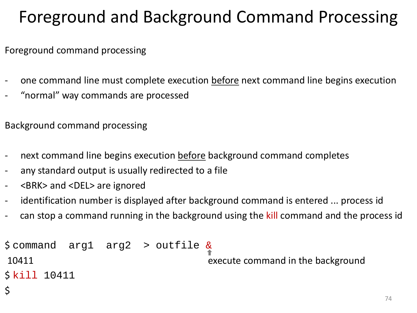## Foreground and Background Command Processing

Foreground command processing

- one command line must complete execution before next command line begins execution
- "normal" way commands are processed

Background command processing

- next command line begins execution before background command completes
- any standard output is usually redirected to a file
- <BRK> and <DEL> are ignored

 $\mathsf{\mathsf{S}}$ 

- identification number is displayed after background command is entered ... process id
- can stop a command running in the background using the kill command and the process id

\$ command arg1 arg2 > outfile & 10411 execute command in the background \$ kill 10411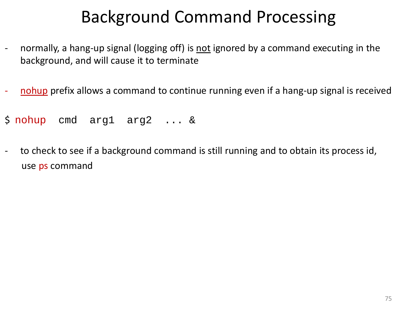## Background Command Processing

- normally, a hang-up signal (logging off) is not ignored by a command executing in the background, and will cause it to terminate
- nohup prefix allows a command to continue running even if a hang-up signal is received
- \$ nohup cmd arg1 arg2 ... &
- to check to see if a background command is still running and to obtain its process id, use ps command